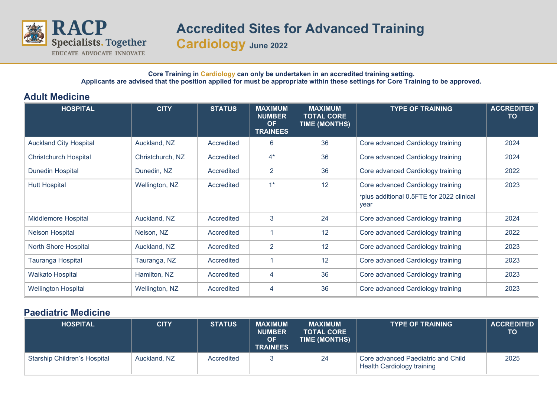

## **Accredited Sites for Advanced Training**

**Cardiology June 2022**

**Core Training in Cardiology can only be undertaken in an accredited training setting. Applicants are advised that the position applied for must be appropriate within these settings for Core Training to be approved.**

## **Adult Medicine**

| <b>HOSPITAL</b>               | <b>CITY</b>      | <b>STATUS</b> | <b>MAXIMUM</b><br><b>NUMBER</b><br><b>OF</b><br><b>TRAINEES</b> | <b>MAXIMUM</b><br><b>TOTAL CORE</b><br><b>TIME (MONTHS)</b> | <b>TYPE OF TRAINING</b>                           | <b>ACCREDITED</b><br>TO |
|-------------------------------|------------------|---------------|-----------------------------------------------------------------|-------------------------------------------------------------|---------------------------------------------------|-------------------------|
| <b>Auckland City Hospital</b> | Auckland, NZ     | Accredited    | 6                                                               | 36                                                          | Core advanced Cardiology training                 | 2024                    |
| <b>Christchurch Hospital</b>  | Christchurch, NZ | Accredited    | $4^*$                                                           | 36                                                          | Core advanced Cardiology training                 | 2024                    |
| <b>Dunedin Hospital</b>       | Dunedin, NZ      | Accredited    | 2                                                               | 36                                                          | Core advanced Cardiology training                 | 2022                    |
| <b>Hutt Hospital</b>          | Wellington, NZ   | Accredited    | $1^*$                                                           | 12                                                          | Core advanced Cardiology training                 | 2023                    |
|                               |                  |               |                                                                 |                                                             | *plus additional 0.5FTE for 2022 clinical<br>year |                         |
| <b>Middlemore Hospital</b>    | Auckland, NZ     | Accredited    | 3                                                               | 24                                                          | Core advanced Cardiology training                 | 2024                    |
| <b>Nelson Hospital</b>        | Nelson, NZ       | Accredited    |                                                                 | 12                                                          | Core advanced Cardiology training                 | 2022                    |
| North Shore Hospital          | Auckland, NZ     | Accredited    | 2                                                               | 12                                                          | Core advanced Cardiology training                 | 2023                    |
| Tauranga Hospital             | Tauranga, NZ     | Accredited    |                                                                 | 12                                                          | Core advanced Cardiology training                 | 2023                    |
| <b>Waikato Hospital</b>       | Hamilton, NZ     | Accredited    | 4                                                               | 36                                                          | Core advanced Cardiology training                 | 2023                    |
| <b>Wellington Hospital</b>    | Wellington, NZ   | Accredited    | 4                                                               | 36                                                          | Core advanced Cardiology training                 | 2023                    |

## **Paediatric Medicine**

| <b>HOSPITAL</b>              | <b>CITY</b>  | <b>STATUS</b> | <b>MAXIMUM</b><br><b>NUMBER</b><br>ΟF<br><b>TRAINEES</b> | <b>MAXIMUM</b><br><b>TOTAL CORE</b><br>TIME (MONTHS) | <b>TYPE OF TRAINING</b>                                                 | <b>ACCREDITED</b><br><b>TO</b> |
|------------------------------|--------------|---------------|----------------------------------------------------------|------------------------------------------------------|-------------------------------------------------------------------------|--------------------------------|
| Starship Children's Hospital | Auckland, NZ | Accredited    |                                                          | 24                                                   | Core advanced Paediatric and Child<br><b>Health Cardiology training</b> | 2025                           |